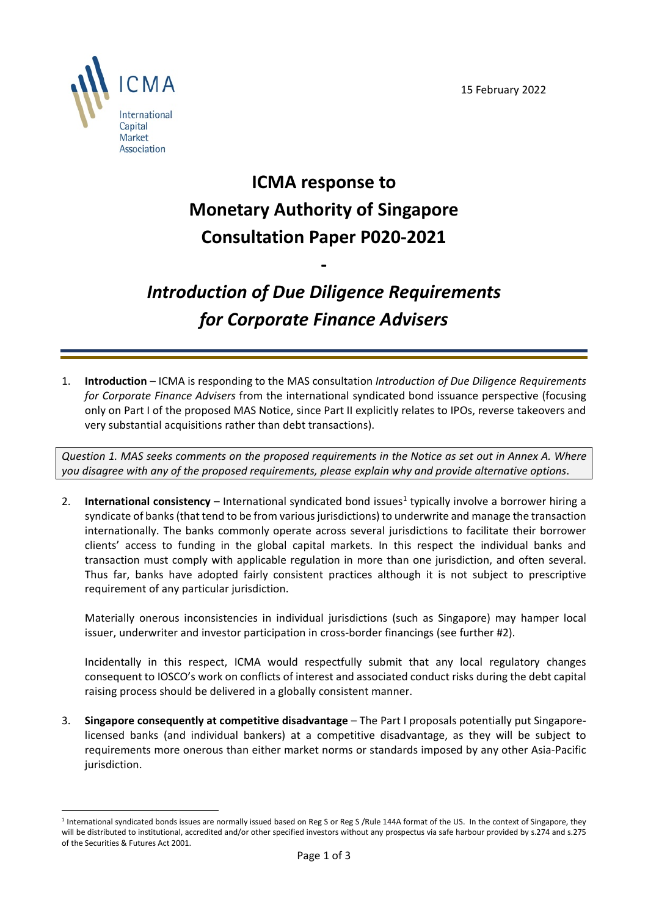

## **ICMA response to Monetary Authority of Singapore Consultation Paper P020-2021**

## *Introduction of Due Diligence Requirements for Corporate Finance Advisers*

**-**

1. **Introduction** – ICMA is responding to the MAS consultation *Introduction of Due Diligence Requirements for Corporate Finance Advisers* from the international syndicated bond issuance perspective (focusing only on Part I of the proposed MAS Notice, since Part II explicitly relates to IPOs, reverse takeovers and very substantial acquisitions rather than debt transactions).

*Question 1. MAS seeks comments on the proposed requirements in the Notice as set out in Annex A. Where you disagree with any of the proposed requirements, please explain why and provide alternative options*.

2. **International consistency** – International syndicated bond issues<sup>1</sup> typically involve a borrower hiring a syndicate of banks (that tend to be from various jurisdictions) to underwrite and manage the transaction internationally. The banks commonly operate across several jurisdictions to facilitate their borrower clients' access to funding in the global capital markets. In this respect the individual banks and transaction must comply with applicable regulation in more than one jurisdiction, and often several. Thus far, banks have adopted fairly consistent practices although it is not subject to prescriptive requirement of any particular jurisdiction.

Materially onerous inconsistencies in individual jurisdictions (such as Singapore) may hamper local issuer, underwriter and investor participation in cross-border financings (see further #2).

Incidentally in this respect, ICMA would respectfully submit that any local regulatory changes consequent to IOSCO's work on conflicts of interest and associated conduct risks during the debt capital raising process should be delivered in a globally consistent manner.

3. **Singapore consequently at competitive disadvantage** – The Part I proposals potentially put Singaporelicensed banks (and individual bankers) at a competitive disadvantage, as they will be subject to requirements more onerous than either market norms or standards imposed by any other Asia-Pacific jurisdiction.

<span id="page-0-0"></span><sup>&</sup>lt;sup>1</sup> International syndicated bonds issues are normally issued based on Reg S or Reg S /Rule 144A format of the US. In the context of Singapore, they will be distributed to institutional, accredited and/or other specified investors without any prospectus via safe harbour provided by s.274 and s.275 of the Securities & Futures Act 2001.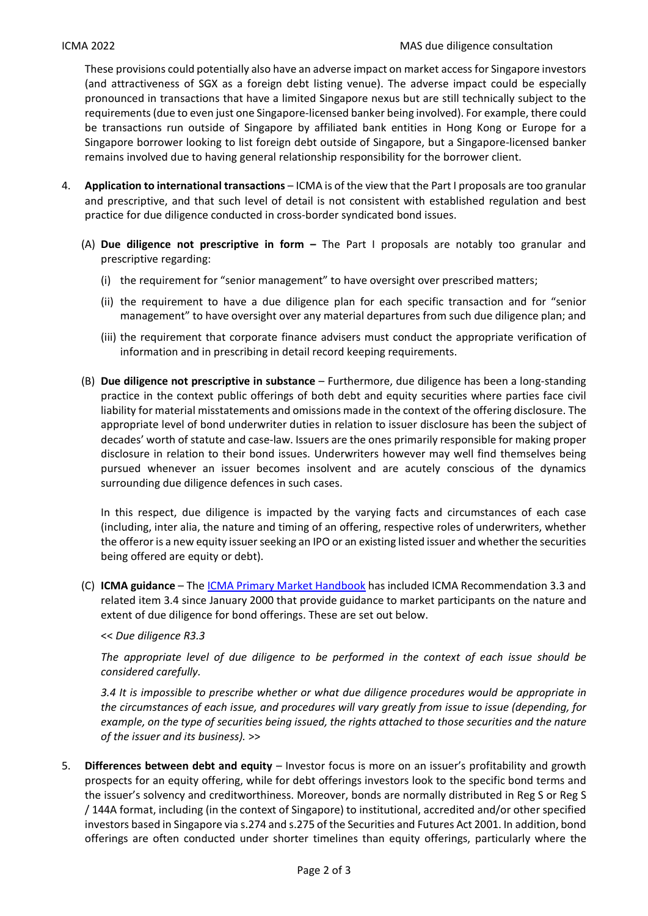These provisions could potentially also have an adverse impact on market access for Singapore investors (and attractiveness of SGX as a foreign debt listing venue). The adverse impact could be especially pronounced in transactions that have a limited Singapore nexus but are still technically subject to the requirements (due to even just one Singapore-licensed banker being involved). For example, there could be transactions run outside of Singapore by affiliated bank entities in Hong Kong or Europe for a Singapore borrower looking to list foreign debt outside of Singapore, but a Singapore-licensed banker remains involved due to having general relationship responsibility for the borrower client.

- 4. **Application to international transactions** ICMA is of the view that the Part I proposals are too granular and prescriptive, and that such level of detail is not consistent with established regulation and best practice for due diligence conducted in cross-border syndicated bond issues.
	- (A) **Due diligence not prescriptive in form –** The Part I proposals are notably too granular and prescriptive regarding:
		- (i) the requirement for "senior management" to have oversight over prescribed matters;
		- (ii) the requirement to have a due diligence plan for each specific transaction and for "senior management" to have oversight over any material departures from such due diligence plan; and
		- (iii) the requirement that corporate finance advisers must conduct the appropriate verification of information and in prescribing in detail record keeping requirements.
	- (B) **Due diligence not prescriptive in substance** Furthermore, due diligence has been a long-standing practice in the context public offerings of both debt and equity securities where parties face civil liability for material misstatements and omissions made in the context of the offering disclosure. The appropriate level of bond underwriter duties in relation to issuer disclosure has been the subject of decades' worth of statute and case-law. Issuers are the ones primarily responsible for making proper disclosure in relation to their bond issues. Underwriters however may well find themselves being pursued whenever an issuer becomes insolvent and are acutely conscious of the dynamics surrounding due diligence defences in such cases.

In this respect, due diligence is impacted by the varying facts and circumstances of each case (including, inter alia, the nature and timing of an offering, respective roles of underwriters, whether the offeror is a new equity issuer seeking an IPO or an existing listed issuer and whether the securities being offered are equity or debt).

(C) **ICMA guidance** – Th[e ICMA Primary Market Handbook](https://www.icmagroup.org/Regulatory-Policy-and-Market-Practice/Primary-Markets/ipma-handbook-home/) has included ICMA Recommendation 3.3 and related item 3.4 since January 2000 that provide guidance to market participants on the nature and extent of due diligence for bond offerings. These are set out below.

<< *Due diligence R3.3* 

*The appropriate level of due diligence to be performed in the context of each issue should be considered carefully.*

*3.4 It is impossible to prescribe whether or what due diligence procedures would be appropriate in the circumstances of each issue, and procedures will vary greatly from issue to issue (depending, for example, on the type of securities being issued, the rights attached to those securities and the nature of the issuer and its business).* >>

5. **Differences between debt and equity** – Investor focus is more on an issuer's profitability and growth prospects for an equity offering, while for debt offerings investors look to the specific bond terms and the issuer's solvency and creditworthiness. Moreover, bonds are normally distributed in Reg S or Reg S / 144A format, including (in the context of Singapore) to institutional, accredited and/or other specified investors based in Singapore via s.274 and s.275 of the Securities and Futures Act 2001. In addition, bond offerings are often conducted under shorter timelines than equity offerings, particularly where the